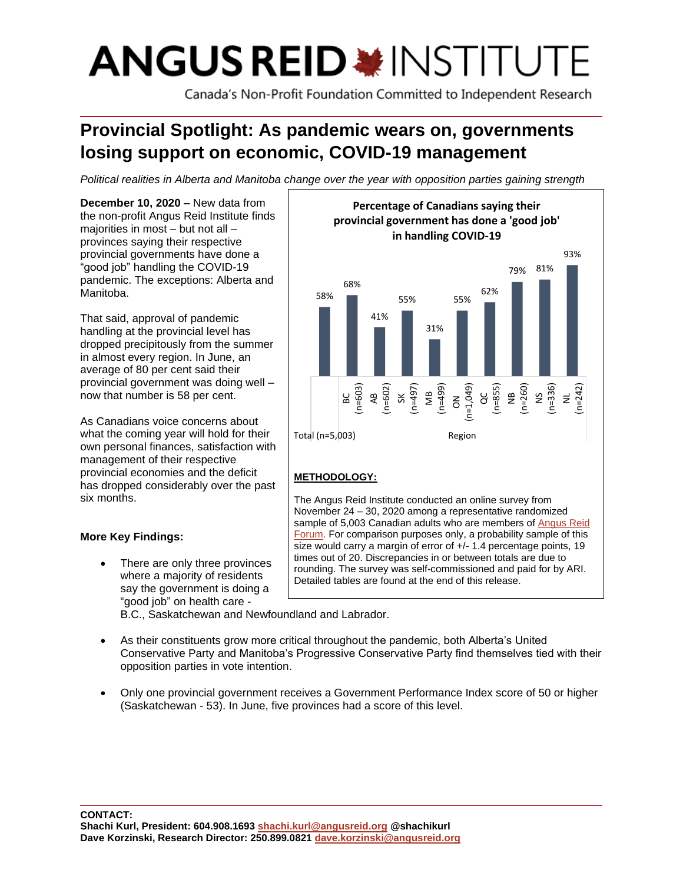# **ANGUS REID \* INSTITUT**

Canada's Non-Profit Foundation Committed to Independent Research

# **Provincial Spotlight: As pandemic wears on, governments losing support on economic, COVID-19 management**

*Political realities in Alberta and Manitoba change over the year with opposition parties gaining strength* 

**December 10, 2020 –** New data from the non-profit Angus Reid Institute finds majorities in most – but not all – provinces saying their respective provincial governments have done a "good job" handling the COVID-19 pandemic. The exceptions: Alberta and Manitoba.

That said, approval of pandemic handling at the provincial level has dropped precipitously from the summer in almost every region. In June, an average of 80 per cent said their provincial government was doing well – now that number is 58 per cent.

As Canadians voice concerns about what the coming year will hold for their own personal finances, satisfaction with management of their respective provincial economies and the deficit has dropped considerably over the past six months.

# **More Key Findings:**

There are only three provinces where a majority of residents say the government is doing a "good job" on health care -



# **METHODOLOGY:**

The Angus Reid Institute conducted an online survey from November 24 – 30, 2020 among a representative randomized sample of 5,003 Canadian adults who are members of [Angus](http://www.angusreidforum.com/) Reid Forum. For comparison purposes only, a probability sample of this size would carry a margin of error of  $+/$ - 1.4 percentage points, 19 times out of 20. Discrepancies in or between totals are due to rounding. The survey was self-commissioned and paid for by ARI. Detailed tables are found at the end of this release.

B.C., Saskatchewan and Newfoundland and Labrador.

- As their constituents grow more critical throughout the pandemic, both Alberta's United Conservative Party and Manitoba's Progressive Conservative Party find themselves tied with their opposition parties in vote intention.
- Only one provincial government receives a Government Performance Index score of 50 or higher (Saskatchewan - 53). In June, five provinces had a score of this level.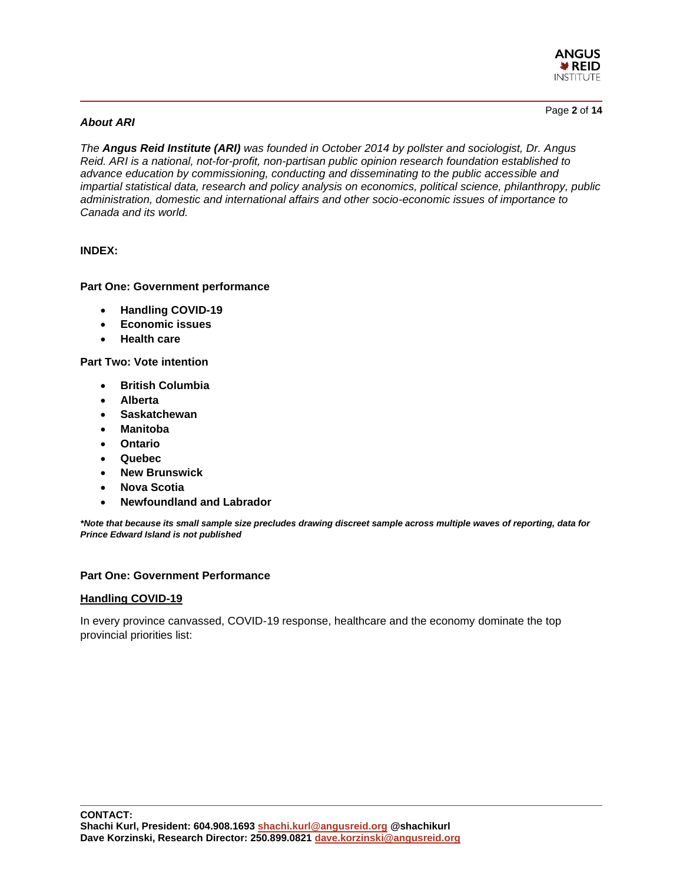

#### *About ARI*

Page **2** of **14**

*The Angus Reid Institute (ARI) was founded in October 2014 by pollster and sociologist, Dr. Angus Reid. ARI is a national, not-for-profit, non-partisan public opinion research foundation established to advance education by commissioning, conducting and disseminating to the public accessible and impartial statistical data, research and policy analysis on economics, political science, philanthropy, public administration, domestic and international affairs and other socio-economic issues of importance to Canada and its world.*

#### **INDEX:**

#### **Part One: Government performance**

- **Handling COVID-19**
- **Economic issues**
- **Health care**

**Part Two: Vote intention**

- **British Columbia**
- **Alberta**
- **Saskatchewan**
- **Manitoba**
- **Ontario**
- **Quebec**
- **New Brunswick**
- **Nova Scotia**
- **Newfoundland and Labrador**

*\*Note that because its small sample size precludes drawing discreet sample across multiple waves of reporting, data for Prince Edward Island is not published*

#### **Part One: Government Performance**

#### **Handling COVID-19**

In every province canvassed, COVID-19 response, healthcare and the economy dominate the top provincial priorities list: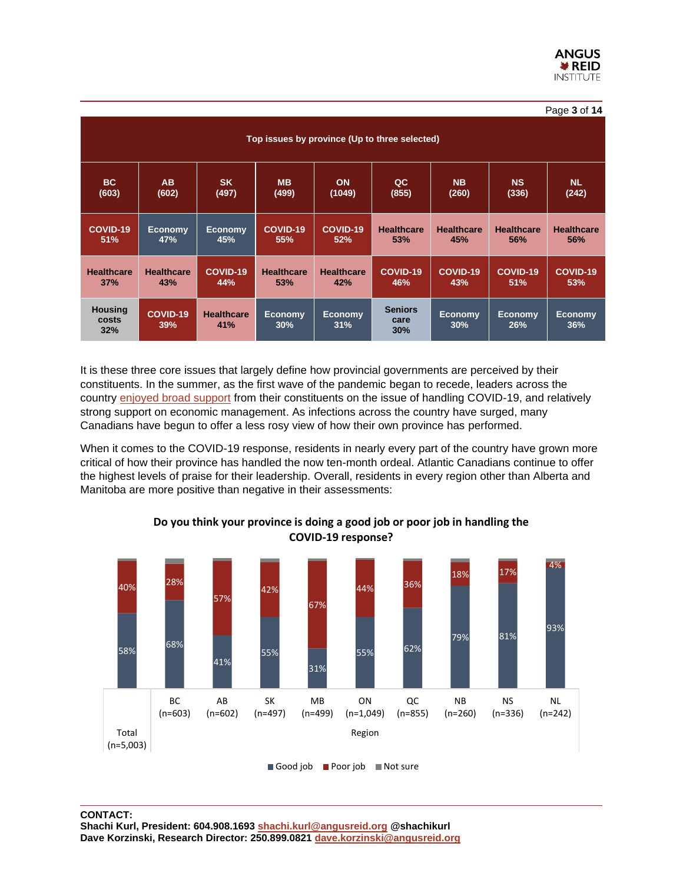| Page 3 of 14                                  |                   |                          |                       |                       |                               |                       |                       |                       |  |  |
|-----------------------------------------------|-------------------|--------------------------|-----------------------|-----------------------|-------------------------------|-----------------------|-----------------------|-----------------------|--|--|
| Top issues by province (Up to three selected) |                   |                          |                       |                       |                               |                       |                       |                       |  |  |
| BC                                            | <b>AB</b>         | <b>SK</b>                | <b>MB</b>             | <b>ON</b>             | QC                            | <b>NB</b>             | <b>NS</b>             | <b>NL</b>             |  |  |
| (603)                                         | (602)             | (497)                    | (499)                 | (1049)                | (855)                         | (260)                 | (336)                 | (242)                 |  |  |
| COVID-19                                      | <b>Economy</b>    | <b>Economy</b>           | COVID-19              | COVID-19              | <b>Healthcare</b>             | <b>Healthcare</b>     | <b>Healthcare</b>     | <b>Healthcare</b>     |  |  |
| 51%                                           | 47%               | 45%                      | 55%                   | 52%                   | 53%                           | 45%                   | 56%                   | 56%                   |  |  |
| <b>Healthcare</b>                             | <b>Healthcare</b> | COVID-19                 | <b>Healthcare</b>     | <b>Healthcare</b>     | COVID-19                      | COVID-19              | COVID-19              | COVID-19              |  |  |
| 37%                                           | <b>43%</b>        | 44%                      | 53%                   | 42%                   | 46%                           | 43%                   | 51%                   | 53%                   |  |  |
| <b>Housing</b><br>costs<br>32%                | COVID-19<br>39%   | <b>Healthcare</b><br>41% | <b>Economy</b><br>30% | <b>Economy</b><br>31% | <b>Seniors</b><br>care<br>30% | <b>Economy</b><br>30% | <b>Economy</b><br>26% | <b>Economy</b><br>36% |  |  |

It is these three core issues that largely define how provincial governments are perceived by their constituents. In the summer, as the first wave of the pandemic began to recede, leaders across the country [enjoyed broad support](http://angusreid.org/provincial-outlook-june2020/) from their constituents on the issue of handling COVID-19, and relatively strong support on economic management. As infections across the country have surged, many Canadians have begun to offer a less rosy view of how their own province has performed.

When it comes to the COVID-19 response, residents in nearly every part of the country have grown more critical of how their province has handled the now ten-month ordeal. Atlantic Canadians continue to offer the highest levels of praise for their leadership. Overall, residents in every region other than Alberta and Manitoba are more positive than negative in their assessments:



# **Do you think your province is doing a good job or poor job in handling the COVID-19 response?**

Good job Poor job Not sure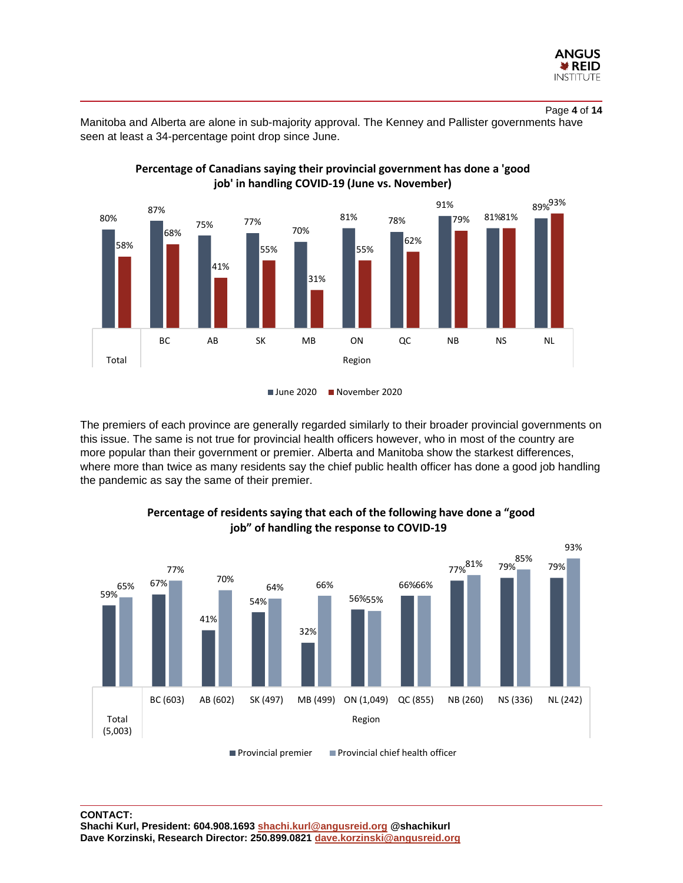

Page **4** of **14**

Manitoba and Alberta are alone in sub-majority approval. The Kenney and Pallister governments have seen at least a 34-percentage point drop since June.





June 2020 November 2020

The premiers of each province are generally regarded similarly to their broader provincial governments on this issue. The same is not true for provincial health officers however, who in most of the country are more popular than their government or premier. Alberta and Manitoba show the starkest differences, where more than twice as many residents say the chief public health officer has done a good job handling the pandemic as say the same of their premier.



#### **Percentage of residents saying that each of the following have done a "good job" of handling the response to COVID-19**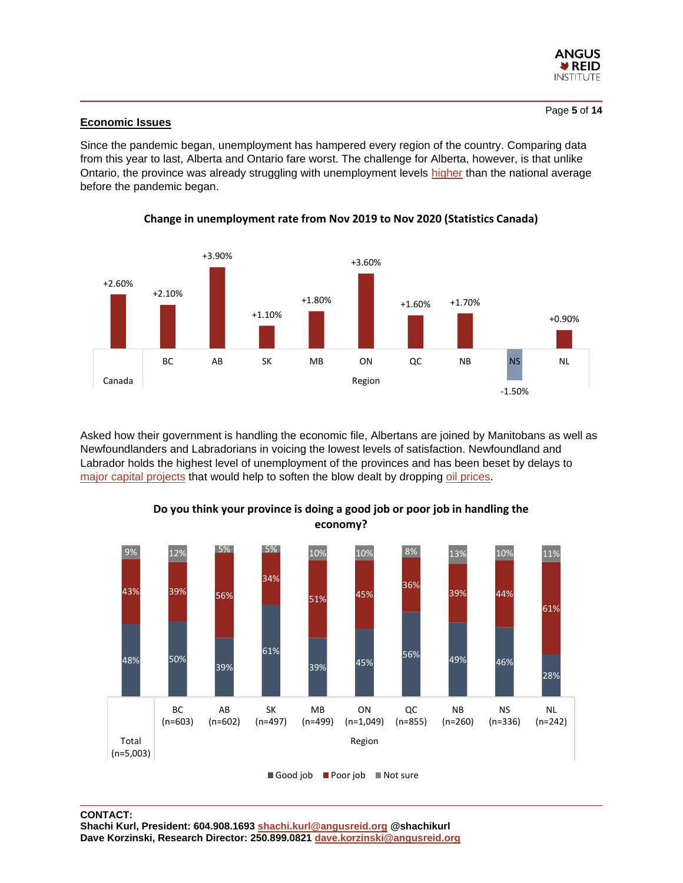

#### **Economic Issues**

Since the pandemic began, unemployment has hampered every region of the country. Comparing data from this year to last, Alberta and Ontario fare worst. The challenge for Alberta, however, is that unlike Ontario, the province was already struggling with unemployment levels [higher](https://www150.statcan.gc.ca/t1/tbl1/en/tv.action?pid=1410028703) than the national average before the pandemic began.



**Change in unemployment rate from Nov 2019 to Nov 2020 (Statistics Canada)**

Asked how their government is handling the economic file, Albertans are joined by Manitobans as well as Newfoundlanders and Labradorians in voicing the lowest levels of satisfaction. Newfoundland and Labrador holds the highest level of unemployment of the provinces and has been beset by delays to [major capital projects](http://www.rbc.com/economics/economic-reports/pdf/provincial-forecasts/nl.pdf) that would help to soften the blow dealt by dropping [oil prices.](http://www.rbc.com/economics/economic-reports/pdf/provincial-forecasts/nl.pdf)



**Do you think your province is doing a good job or poor job in handling the economy?**

Good job Poor job Not sure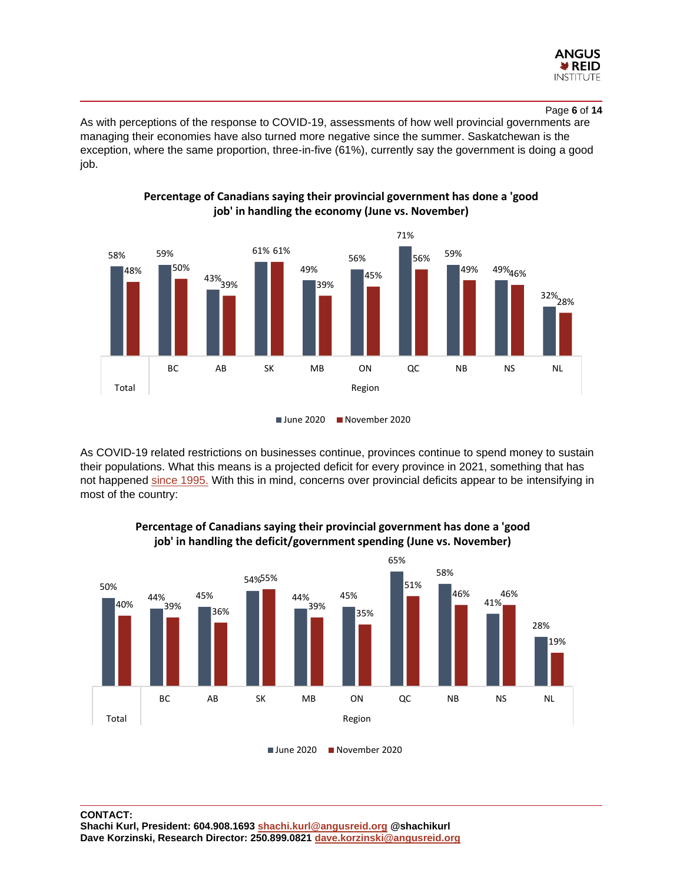

#### Page **6** of **14**

As with perceptions of the response to COVID-19, assessments of how well provincial governments are managing their economies have also turned more negative since the summer. Saskatchewan is the exception, where the same proportion, three-in-five (61%), currently say the government is doing a good job.



**Percentage of Canadians saying their provincial government has done a 'good job' in handling the economy (June vs. November)**

As COVID-19 related restrictions on businesses continue, provinces continue to spend money to sustain their populations. What this means is a projected deficit for every province in 2021, something that has not happened [since 1995.](http://www.rbc.com/economics/economic-reports/pdf/canadian-fiscal/prov_fiscal.pdf) With this in mind, concerns over provincial deficits appear to be intensifying in most of the country:



#### **Percentage of Canadians saying their provincial government has done a 'good job' in handling the deficit/government spending (June vs. November)**

June 2020 November 2020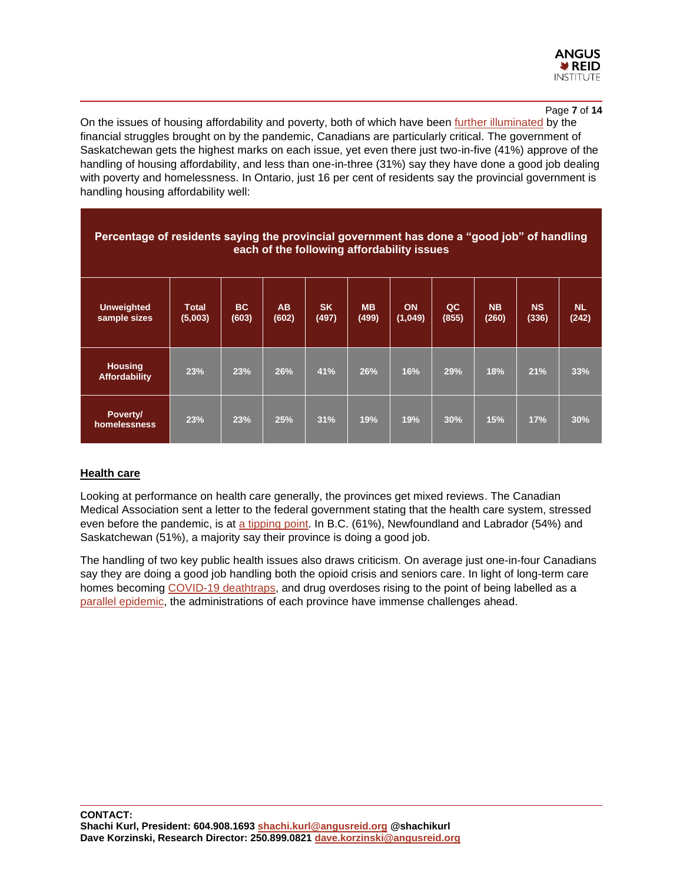

Page **7** of **14**

On the issues of housing affordability and poverty, both of which have been [further illuminated](https://globalnews.ca/news/7328686/canada-coronavirus-poverty-impacts/) by the financial struggles brought on by the pandemic, Canadians are particularly critical. The government of Saskatchewan gets the highest marks on each issue, yet even there just two-in-five (41%) approve of the handling of housing affordability, and less than one-in-three (31%) say they have done a good job dealing with poverty and homelessness. In Ontario, just 16 per cent of residents say the provincial government is handling housing affordability well:

| Percentage of residents saying the provincial government has done a "good job" of handling<br>each of the following affordability issues |                         |              |                    |                    |                    |                      |             |                    |                    |                    |
|------------------------------------------------------------------------------------------------------------------------------------------|-------------------------|--------------|--------------------|--------------------|--------------------|----------------------|-------------|--------------------|--------------------|--------------------|
| <b>Unweighted</b><br>sample sizes                                                                                                        | <b>Total</b><br>(5,003) | BC.<br>(603) | <b>AB</b><br>(602) | <b>SK</b><br>(497) | <b>MB</b><br>(499) | <b>ON</b><br>(1,049) | QC<br>(855) | <b>NB</b><br>(260) | <b>NS</b><br>(336) | <b>NL</b><br>(242) |
| <b>Housing</b><br><b>Affordability</b>                                                                                                   | 23%                     | 23%          | 26%                | 41%                | 26%                | 16%                  | 29%         | 18%                | 21%                | 33%                |
| Poverty/<br>homelessness                                                                                                                 | 23%                     | 23%          | 25%                | 31%                | 19%                | 19%                  | 30%         | 15%                | 17%                | 30%                |

#### **Health care**

Looking at performance on health care generally, the provinces get mixed reviews. The Canadian Medical Association sent a letter to the federal government stating that the health care system, stressed even before the pandemic, is at [a tipping point.](https://www.newswire.ca/news-releases/message-to-federal-government-from-canada-s-doctors-our-health-care-system-is-sending-an-sos-833236607.html) In B.C. (61%), Newfoundland and Labrador (54%) and Saskatchewan (51%), a majority say their province is doing a good job.

The handling of two key public health issues also draws criticism. On average just one-in-four Canadians say they are doing a good job handling both the opioid crisis and seniors care. In light of long-term care homes becoming [COVID-19 deathtraps,](https://www.ctvnews.ca/health/coronavirus/long-term-care-homes-once-again-emerge-as-covid-19-hotspots-1.5209719) and drug overdoses rising to the point of being labelled as a [parallel epidemic,](https://globalnews.ca/news/7300540/canada-coronavirus-epidemic-fatal-drug-overdoses/) the administrations of each province have immense challenges ahead.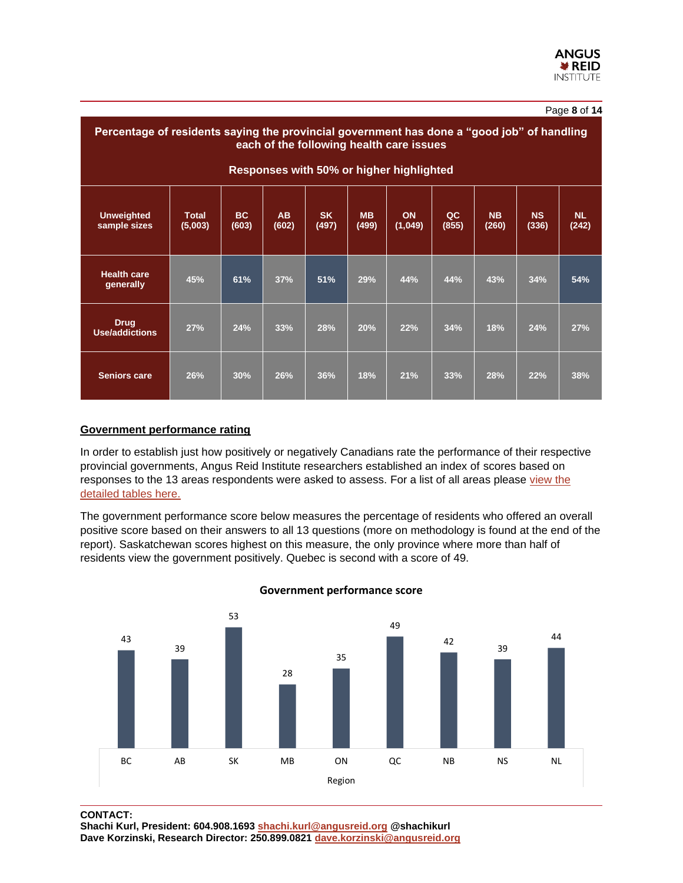| Percentage of residents saying the provincial government has done a "good job" of handling<br>each of the following health care issues |                         |                    |                    |                    |                    |                      |             |                    |                    |                    |
|----------------------------------------------------------------------------------------------------------------------------------------|-------------------------|--------------------|--------------------|--------------------|--------------------|----------------------|-------------|--------------------|--------------------|--------------------|
| Responses with 50% or higher highlighted                                                                                               |                         |                    |                    |                    |                    |                      |             |                    |                    |                    |
| <b>Unweighted</b><br>sample sizes                                                                                                      | <b>Total</b><br>(5,003) | <b>BC</b><br>(603) | <b>AB</b><br>(602) | <b>SK</b><br>(497) | <b>MB</b><br>(499) | <b>ON</b><br>(1,049) | QC<br>(855) | <b>NB</b><br>(260) | <b>NS</b><br>(336) | <b>NL</b><br>(242) |
| <b>Health care</b><br>generally                                                                                                        | 45%                     | 61%                | 37%                | 51%                | 29%                | 44%                  | 44%         | 43%                | 34%                | 54%                |
| <b>Drug</b><br><b>Use/addictions</b>                                                                                                   | 27%                     | 24%                | 33%                | 28%                | 20%                | 22%                  | 34%         | 18%                | 24%                | 27%                |
| <b>Seniors care</b>                                                                                                                    | 26%                     | 30%                | 26%                | 36%                | 18%                | 21%                  | 33%         | 28%                | 22%                | 38%                |

#### **Government performance rating**

In order to establish just how positively or negatively Canadians rate the performance of their respective provincial governments, Angus Reid Institute researchers established an index of scores based on responses to the 13 areas respondents were asked to assess. For a list of all areas please view the [detailed tables here.](http://angusreid.org/wp-content/uploads/2020/12/2020.12.09_Provincial_Spotlight_PR-Tables.pdf)

The government performance score below measures the percentage of residents who offered an overall positive score based on their answers to all 13 questions (more on methodology is found at the end of the report). Saskatchewan scores highest on this measure, the only province where more than half of residents view the government positively. Quebec is second with a score of 49.



#### **Government performance score**

**CONTACT:** 

**Shachi Kurl, President: 604.908.1693 [shachi.kurl@angusreid.org](mailto:shachi.kurl@angusreid.org) @shachikurl Dave Korzinski, Research Director: 250.899.0821 [dave.korzinski@angusreid.org](mailto:dave.korzinski@angusreid.org)**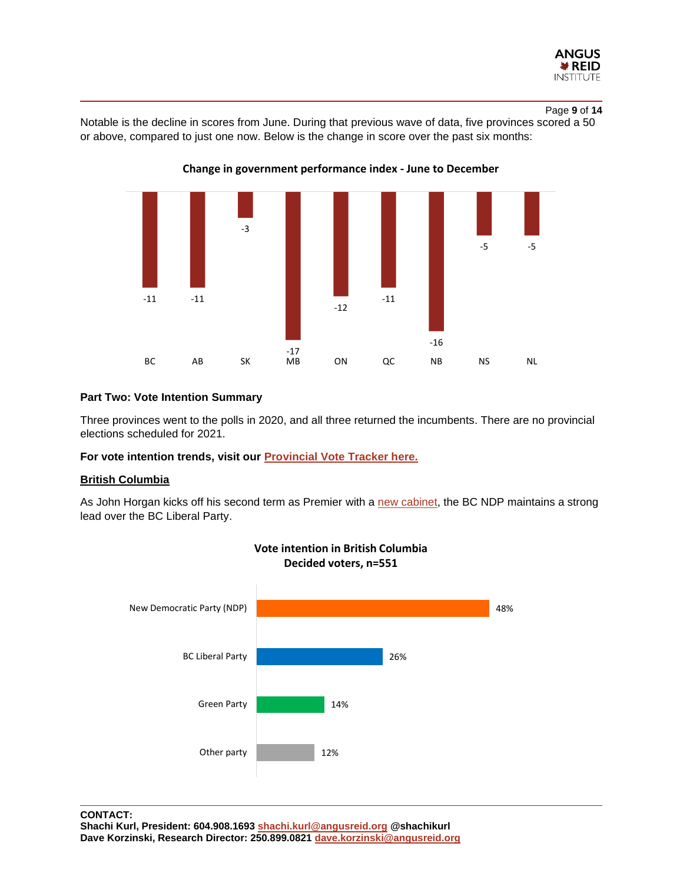

#### Page **9** of **14**

Notable is the decline in scores from June. During that previous wave of data, five provinces scored a 50 or above, compared to just one now. Below is the change in score over the past six months:



**Change in government performance index - June to December**

#### **Part Two: Vote Intention Summary**

Three provinces went to the polls in 2020, and all three returned the incumbents. There are no provincial elections scheduled for 2021.

**For vote intention trends, visit our [Provincial Vote Tracker here.](http://angusreid.org/vote-intention-tracker/)**

#### **British Columbia**

As John Horgan kicks off his second term as Premier with a [new cabinet,](https://vancouversun.com/news/politics/premier-john-horgans-new-cabinet-focused-on-pandemic-recovery) the BC NDP maintains a strong lead over the BC Liberal Party.

**Vote intention in British Columbia**

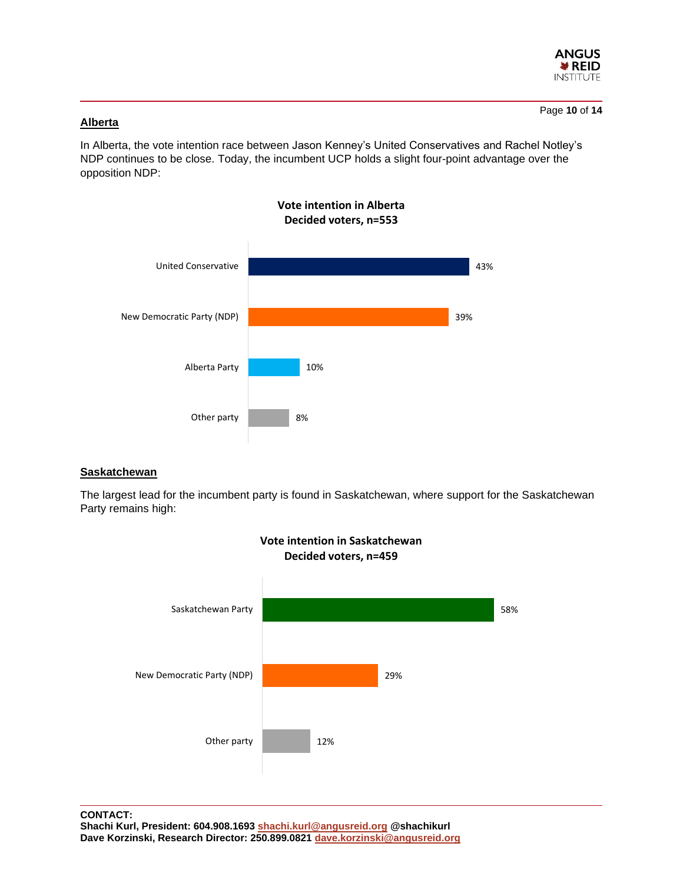

### **Alberta**

In Alberta, the vote intention race between Jason Kenney's United Conservatives and Rachel Notley's NDP continues to be close. Today, the incumbent UCP holds a slight four-point advantage over the opposition NDP:



#### **Saskatchewan**

The largest lead for the incumbent party is found in Saskatchewan, where support for the Saskatchewan Party remains high:

**Vote intention in Saskatchewan**

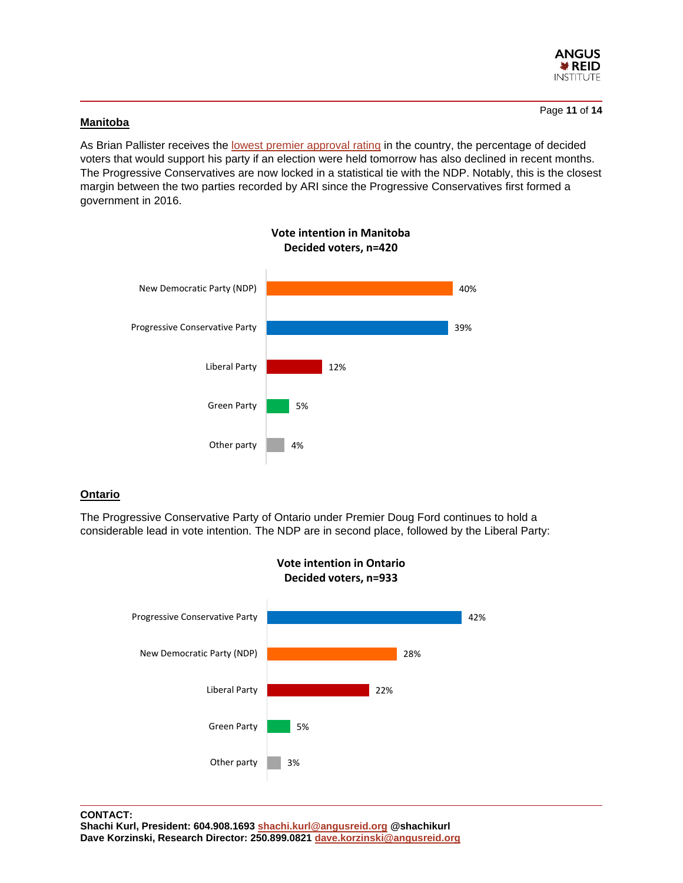

#### **Manitoba**

As Brian Pallister receives the [lowest premier](http://angusreid.org/premier-approval-december2020/) approval rating in the country, the percentage of decided voters that would support his party if an election were held tomorrow has also declined in recent months. The Progressive Conservatives are now locked in a statistical tie with the NDP. Notably, this is the closest margin between the two parties recorded by ARI since the Progressive Conservatives first formed a government in 2016.



#### **Ontario**

The Progressive Conservative Party of Ontario under Premier Doug Ford continues to hold a considerable lead in vote intention. The NDP are in second place, followed by the Liberal Party:





**CONTACT: Shachi Kurl, President: 604.908.1693 [shachi.kurl@angusreid.org](mailto:shachi.kurl@angusreid.org) @shachikurl Dave Korzinski, Research Director: 250.899.0821 [dave.korzinski@angusreid.org](mailto:dave.korzinski@angusreid.org)**

#### Page **11** of **14**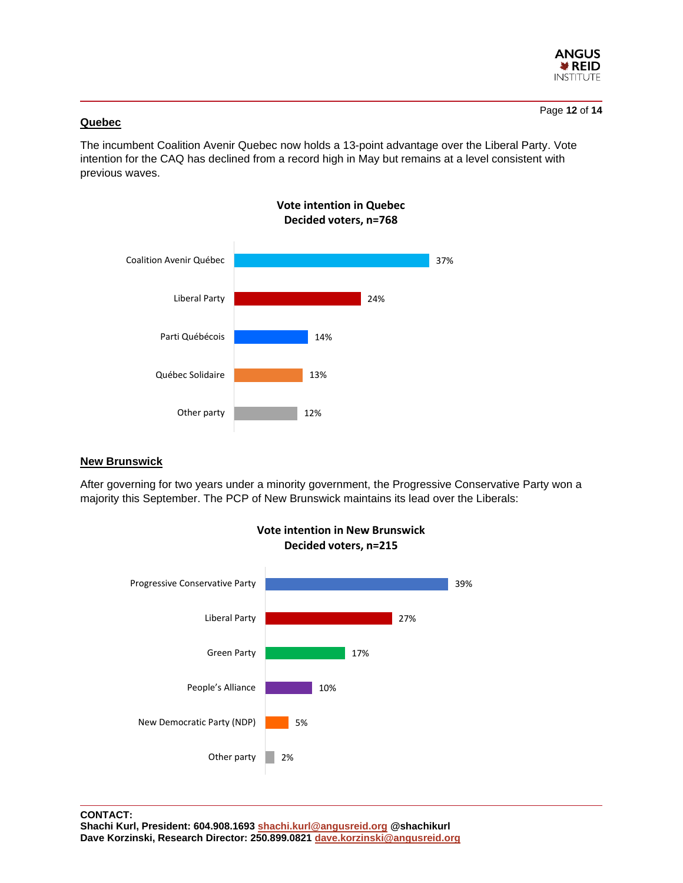

#### **Quebec**

The incumbent Coalition Avenir Quebec now holds a 13-point advantage over the Liberal Party. Vote intention for the CAQ has declined from a record high in May but remains at a level consistent with previous waves.



#### **New Brunswick**

After governing for two years under a minority government, the Progressive Conservative Party won a majority this September. The PCP of New Brunswick maintains its lead over the Liberals:

**Vote intention in New Brunswick**

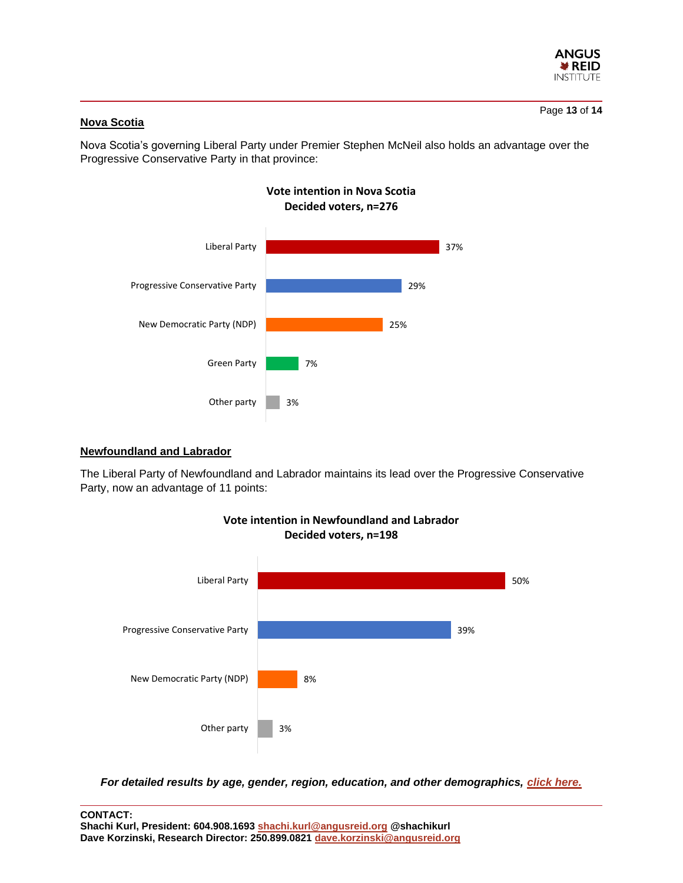

# **Nova Scotia**

Nova Scotia's governing Liberal Party under Premier Stephen McNeil also holds an advantage over the Progressive Conservative Party in that province:

**Vote intention in Nova Scotia**



#### **Newfoundland and Labrador**

The Liberal Party of Newfoundland and Labrador maintains its lead over the Progressive Conservative Party, now an advantage of 11 points:



*For detailed results by age, gender, region, education, and other demographics, [click here.](http://angusreid.org/wp-content/uploads/2020/12/2020.12.09_Province_Spotlight-PR-Tables.pdf)*